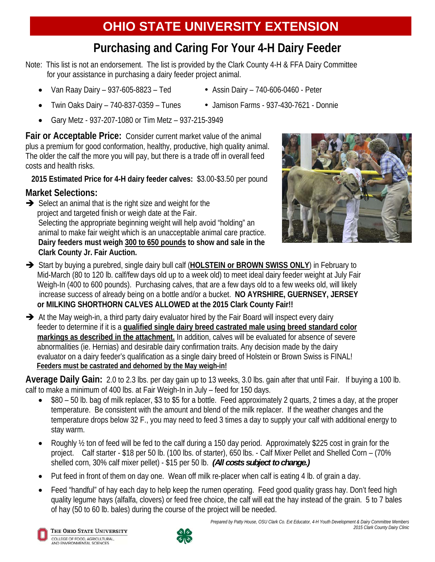## **Purchasing and Caring For Your 4-H Dairy Feeder**

Note: This list is not an endorsement. The list is provided by the Clark County 4-H & FFA Dairy Committee for your assistance in purchasing a dairy feeder project animal.

- Van Raay Dairy 937-605-8823 Ted Assin Dairy 740-606-0460 Peter
- 
- Twin Oaks Dairy 740-837-0359 Tunes Jamison Farms 937-430-7621 Donnie
	-
- Gary Metz 937-207-1080 or Tim Metz 937-215-3949

**Fair or Acceptable Price:** Consider current market value of the animal plus a premium for good conformation, healthy, productive, high quality animal. The older the calf the more you will pay, but there is a trade off in overall feed costs and health risks.

 **2015 Estimated Price for 4-H dairy feeder calves:** \$3.00-\$3.50 per pound

## **Market Selections:**

 $\rightarrow$  Select an animal that is the right size and weight for the project and targeted finish or weigh date at the Fair. Selecting the appropriate beginning weight will help avoid "holding" an animal to make fair weight which is an unacceptable animal care practice. **Dairy feeders must weigh 300 to 650 pounds to show and sale in the Clark County Jr. Fair Auction.** 



- Start by buying a purebred, single dairy bull calf (**HOLSTEIN or BROWN SWISS ONLY**) in February to Mid-March (80 to 120 lb. calf/few days old up to a week old) to meet ideal dairy feeder weight at July Fair Weigh-In (400 to 600 pounds). Purchasing calves, that are a few days old to a few weeks old, will likely increase success of already being on a bottle and/or a bucket. **NO AYRSHIRE, GUERNSEY, JERSEY or MILKING SHORTHORN CALVES ALLOWED at the 2015 Clark County Fair!!**
- $\rightarrow$  At the May weigh-in, a third party dairy evaluator hired by the Fair Board will inspect every dairy feeder to determine if it is a **qualified single dairy breed castrated male using breed standard color markings as described in the attachment.** In addition, calves will be evaluated for absence of severe abnormalities (ie. Hernias) and desirable dairy confirmation traits. Any decision made by the dairy evaluator on a dairy feeder's qualification as a single dairy breed of Holstein or Brown Swiss is FINAL! **Feeders must be castrated and dehorned by the May weigh-in!**

**Average Daily Gain:** 2.0 to 2.3 lbs. per day gain up to 13 weeks, 3.0 lbs. gain after that until Fair. If buying a 100 lb. calf to make a minimum of 400 lbs. at Fair Weigh-In in July – feed for 150 days.

- \$80 50 lb. bag of milk replacer, \$3 to \$5 for a bottle. Feed approximately 2 quarts, 2 times a day, at the proper temperature. Be consistent with the amount and blend of the milk replacer. If the weather changes and the temperature drops below 32 F., you may need to feed 3 times a day to supply your calf with additional energy to stay warm.
- Roughly  $\frac{1}{2}$  ton of feed will be fed to the calf during a 150 day period. Approximately \$225 cost in grain for the project. Calf starter - \$18 per 50 lb. (100 lbs. of starter), 650 lbs. - Calf Mixer Pellet and Shelled Corn – (70% shelled corn, 30% calf mixer pellet) - \$15 per 50 lb. *(All costs subject to change.)*
- Put feed in front of them on day one. Wean off milk re-placer when calf is eating 4 lb. of grain a day.
- Feed "handful" of hay each day to help keep the rumen operating. Feed good quality grass hay. Don't feed high quality legume hays (alfalfa, clovers) or feed free choice, the calf will eat the hay instead of the grain. 5 to 7 bales of hay (50 to 60 lb. bales) during the course of the project will be needed.